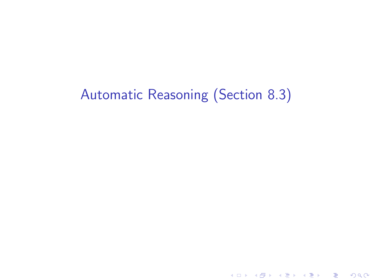# Automatic Reasoning (Section 8.3)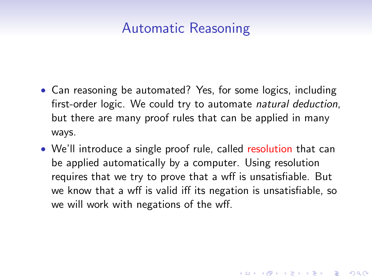## Automatic Reasoning

- Can reasoning be automated? Yes, for some logics, including first-order logic. We could try to automate natural deduction, but there are many proof rules that can be applied in many ways.
- We'll introduce a single proof rule, called resolution that can be applied automatically by a computer. Using resolution requires that we try to prove that a wff is unsatisfiable. But we know that a wff is valid iff its negation is unsatisfiable, so we will work with negations of the wff.

4 D > 4 P + 4 B + 4 B + B + 9 Q O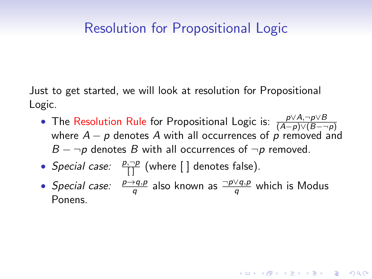## Resolution for Propositional Logic

Just to get started, we will look at resolution for Propositional Logic.

- The Resolution Rule for Propositional Logic is:  $\frac{p\vee A, \neg p\vee B}{(A-p)\vee(B-\neg p)}$ where  $A - p$  denotes A with all occurrences of p removed and  $B - \neg p$  denotes B with all occurrences of  $\neg p$  removed.
- *Special case:*  $\frac{p, \neg p}{\Box}$  (where  $\Box$  denotes false).
- Special case:  $\frac{p\rightarrow q,p}{q}$  also known as  $\frac{\neg p\lor q,p}{q}$  which is Modus Ponens.

**AD A 4 4 4 5 A 5 A 5 A 4 D A 4 D A 4 P A 4 5 A 4 5 A 5 A 4 A 4 A 4 A**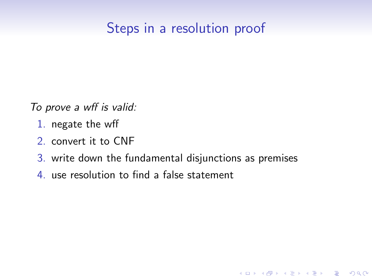# Steps in a resolution proof

To prove a wff is valid:

- 1. negate the wff
- 2. convert it to CNF
- 3. write down the fundamental disjunctions as premises

**KORKA SERKER ORA** 

4. use resolution to find a false statement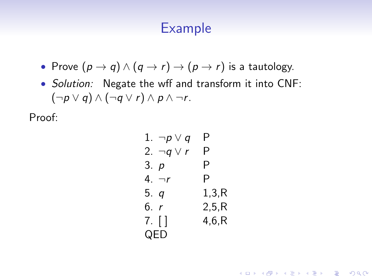### Example

- Prove  $(p \to q) \land (q \to r) \to (p \to r)$  is a tautology.
- Solution: Negate the wff and transform it into CNF:  $(\neg p \lor q) \land (\neg q \lor r) \land p \land \neg r$ .

Proof:

1. 
$$
\neg p \lor q
$$
 P  
\n2.  $\neg q \lor r$  P  
\n3.  $p$  P  
\n4.  $\neg r$  P  
\n5.  $q$  1,3,R  
\n6.  $r$  2,5,R  
\n7. [] 4,6,R  
\nQED

**KORK ERKER ADE YOUR**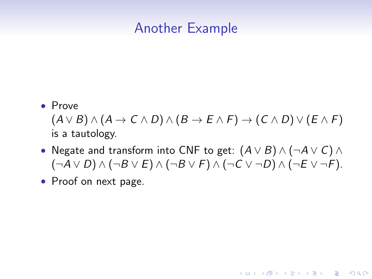### Another Example

• Prove

 $(A \vee B) \wedge (A \rightarrow C \wedge D) \wedge (B \rightarrow E \wedge F) \rightarrow (C \wedge D) \vee (E \wedge F)$ is a tautology.

• Negate and transform into CNF to get:  $(A \vee B) \wedge (\neg A \vee C) \wedge$  $(\neg A \lor D) \land (\neg B \lor E) \land (\neg B \lor F) \land (\neg C \lor \neg D) \land (\neg E \lor \neg F).$ 

**KORK ERKER ADE YOUR** 

• Proof on next page.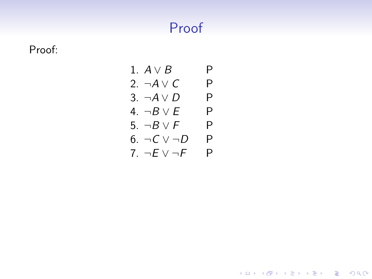# Proof

Proof:

1. 
$$
A \lor B
$$
 P  
\n2.  $\neg A \lor C$  P  
\n3.  $\neg A \lor D$  P  
\n4.  $\neg B \lor E$  P  
\n5.  $\neg B \lor F$  P  
\n6.  $\neg C \lor \neg D$  P  
\n7.  $\neg E \lor \neg F$  P

K ロ X イロ X K ミ X K ミ X ミ → S V Q Q Q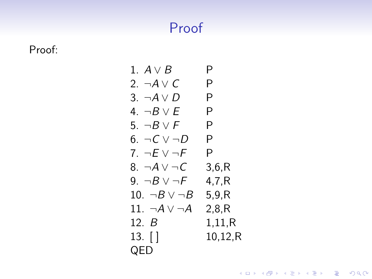# Proof

Proof:

1. 
$$
A \vee B
$$
 P  
\n2.  $\neg A \vee C$  P  
\n3.  $\neg A \vee D$  P  
\n4.  $\neg B \vee E$  P  
\n5.  $\neg B \vee F$  P  
\n6.  $\neg C \vee \neg D$  P  
\n7.  $\neg E \vee \neg F$  P  
\n8.  $\neg A \vee \neg C$  3,6,R  
\n9.  $\neg B \vee \neg F$  4,7,R  
\n10.  $\neg B \vee \neg B$  5,9,R  
\n11.  $\neg A \vee \neg A$  2,8,R  
\n12.  $B$  1,11,R  
\n13. [] 10,12,R  
\nQED

イロト イ御 トイミト イミト ニミー りんぴ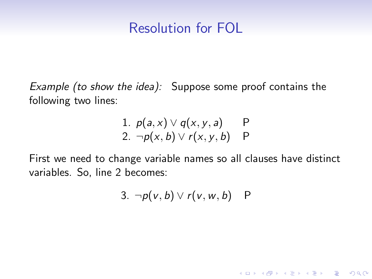## Resolution for FOL

Example (to show the idea): Suppose some proof contains the following two lines:

1. 
$$
p(a, x) \lor q(x, y, a)
$$
 P  
2.  $\neg p(x, b) \lor r(x, y, b)$  P

First we need to change variable names so all clauses have distinct variables. So, line 2 becomes:

3. 
$$
\neg p(v, b) \lor r(v, w, b)
$$
 P

K ロ ▶ K @ ▶ K 할 > K 할 > 1 할 > 1 이익어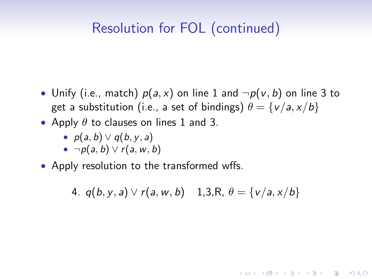# Resolution for FOL (continued)

- Unify (i.e., match)  $p(a, x)$  on line 1 and  $\neg p(v, b)$  on line 3 to get a substitution (i.e., a set of bindings)  $\theta = \{v/a, x/b\}$
- Apply  $\theta$  to clauses on lines 1 and 3.
	- $p(a, b) \vee q(b, y, a)$
	- $\neg p(a, b) \vee r(a, w, b)$
- Apply resolution to the transformed wffs.

4.  $q(b, v, a) \vee r(a, w, b)$  1,3,R,  $\theta = \{v/a, x/b\}$ 

**KORK ERKER ADE YOUR**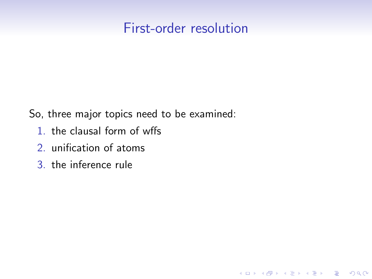### First-order resolution

K ロ ▶ K @ ▶ K 할 ▶ K 할 ▶ 이 할 → 9 Q @

So, three major topics need to be examined:

- 1. the clausal form of wffs
- 2. unification of atoms
- 3. the inference rule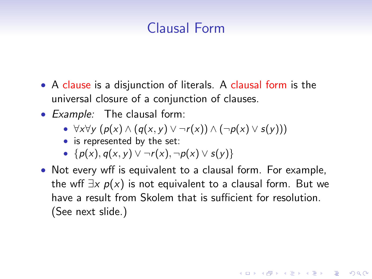# Clausal Form

- A clause is a disjunction of literals. A clausal form is the universal closure of a conjunction of clauses.
- Example: The clausal form:
	- $\forall x \forall y \ (p(x) \land (q(x, y) \lor \neg r(x)) \land (\neg p(x) \lor s(y)))$
	- is represented by the set:
	- $\{p(x), q(x, y) \lor \neg r(x), \neg p(x) \lor s(y)\}\$
- Not every wff is equivalent to a clausal form. For example, the wff  $\exists x \ p(x)$  is not equivalent to a clausal form. But we have a result from Skolem that is sufficient for resolution. (See next slide.)

**KORKAR KERKER EL VOLO**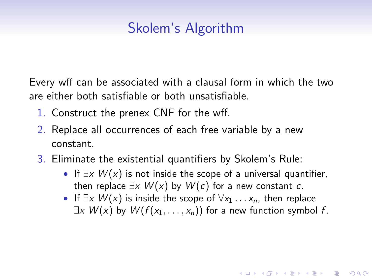# Skolem's Algorithm

Every wff can be associated with a clausal form in which the two are either both satisfiable or both unsatisfiable.

- 1. Construct the prenex CNF for the wff.
- 2. Replace all occurrences of each free variable by a new constant.
- 3. Eliminate the existential quantifiers by Skolem's Rule:
	- If  $\exists x \ W(x)$  is not inside the scope of a universal quantifier, then replace  $\exists x W(x)$  by  $W(c)$  for a new constant c.
	- If  $\exists x \ W(x)$  is inside the scope of  $\forall x_1 \dots x_n$ , then replace  $\exists x \ W(x)$  by  $W(f(x_1, \ldots, x_n))$  for a new function symbol f.

**KORKAR KERKER EL VOLO**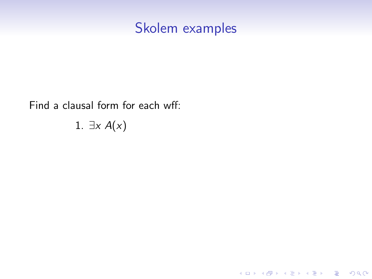Find a clausal form for each wff:

1.  $\exists x A(x)$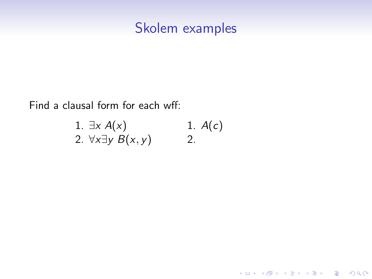Find a clausal form for each wff:

1. 
$$
\exists x A(x)
$$
  
1.  $A(c)$   
2.  $\forall x \exists y B(x, y)$   
2.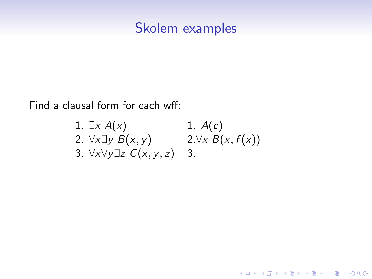Find a clausal form for each wff:

1. 
$$
\exists x A(x)
$$
  
\n2.  $\forall x \exists y B(x, y)$   
\n3.  $\forall x \forall y \exists z C(x, y, z)$   
\n4.  $\forall x B(x, f(x))$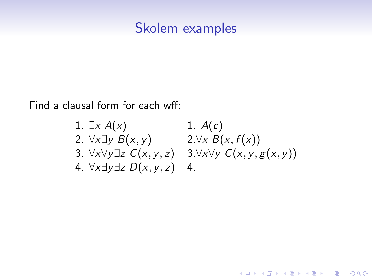Find a clausal form for each wff:

1. 
$$
\exists x A(x)
$$
  
\n2.  $\forall x \exists y B(x, y)$   
\n3.  $\forall x \forall y \exists z C(x, y, z)$   
\n4.  $\forall x \exists y \exists z D(x, y, z)$   
\n5.  $\forall x \forall y \exists z D(x, y, z)$   
\n6.  $\forall x \exists y \exists z D(x, y, z)$   
\n7.  $\forall y \forall y C(x, y, g(x, y))$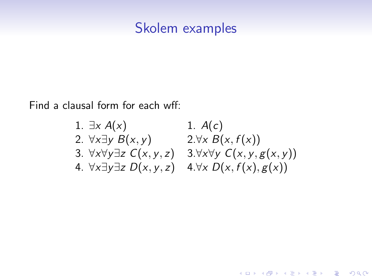<span id="page-17-0"></span>Find a clausal form for each wff:

1. 
$$
\exists x A(x)
$$
  
\n2.  $\forall x \exists y B(x, y)$   
\n3.  $\forall x \forall y \exists z C(x, y, z)$   
\n4.  $\forall x \exists y \exists z D(x, y, z)$   
\n5.  $\forall x \forall y \exists z C(x, y, z)$   
\n6.  $\forall x \exists y \exists z D(x, y, z)$   
\n7.  $\forall x \exists y \forall z D(x, y, z)$   
\n8.  $\forall x \forall y C(x, y, g(x))$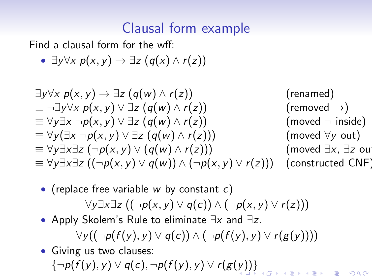# Clausal form example

Find a clausal form for the wff:

•  $\exists y \forall x \ p(x, y) \rightarrow \exists z \ (q(x) \land r(z))$ 

$$
\exists y \forall x \ p(x, y) \rightarrow \exists z \ (q(w) \land r(z)) \quad (\text{renamed})
$$
\n
$$
\equiv \neg \exists y \forall x \ p(x, y) \lor \exists z \ (q(w) \land r(z)) \quad (\text{removed } \rightarrow)
$$
\n
$$
\equiv \forall y \exists x \ \neg p(x, y) \lor \exists z \ (q(w) \land r(z)) \quad (\text{ moved } \neg \text{ inside})
$$
\n
$$
\equiv \forall y (\exists x \ \neg p(x, y) \lor \exists z \ (q(w) \land r(z))) \quad (\text{ moved } \forall y \text{ out})
$$
\n
$$
\equiv \forall y \exists x \exists z \ (\neg p(x, y) \lor (q(w) \land r(z))) \quad (\text{ moved } \exists x, \exists z \text{ out})
$$
\n
$$
\equiv \forall y \exists x \exists z \ ((\neg p(x, y) \lor q(w)) \land (\neg p(x, y) \lor r(z))) \quad (\text{constructed CNF})
$$

- (replace free variable w by constant  $c$ )  $\forall y \exists x \exists z ((\neg p(x, y) \lor q(c)) \land (\neg p(x, y) \lor r(z)))$
- Apply Skolem's Rule to eliminate ∃x and ∃z.

 $\forall y((\neg p(f(y), y) \lor q(c)) \land (\neg p(f(y), y) \lor r(g(y))))$ 

• Giving us two clauses:  ${\lbrace \neg p(\tilde{f}(y),y) \vee q(c), \neg p(f(y),y) \vee r(g(y)) \rbrace}$  ${\lbrace \neg p(\tilde{f}(y),y) \vee q(c), \neg p(f(y),y) \vee r(g(y)) \rbrace}$  ${\lbrace \neg p(\tilde{f}(y),y) \vee q(c), \neg p(f(y),y) \vee r(g(y)) \rbrace}$  ${\lbrace \neg p(\tilde{f}(y),y) \vee q(c), \neg p(f(y),y) \vee r(g(y)) \rbrace}$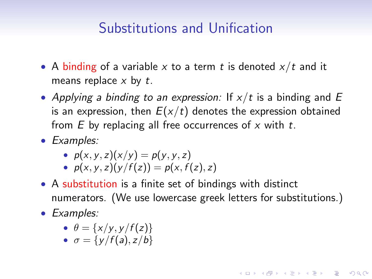## Substitutions and Unification

- <span id="page-19-0"></span>• A binding of a variable x to a term t is denoted  $x/t$  and it means replace  $x$  by  $t$ .
- Applying a binding to an expression: If  $x/t$  is a binding and E is an expression, then  $E(x/t)$  denotes the expression obtained from  $E$  by replacing all free occurrences of  $x$  with  $t$ .
- Examples:

• 
$$
p(x, y, z)(x/y) = p(y, y, z)
$$

- $p(x, y, z)(y/f(z)) = p(x, f(z), z)$
- A substitution is a finite set of bindings with distinct numerators. (We use lowercase greek letters for substitutions.)

**KORKAR KERKER EL VOLO** 

• Examples:

$$
\bullet \ \theta = \{x/y, y/f(z)\}
$$

•  $\sigma = \{v/f(a), z/b\}$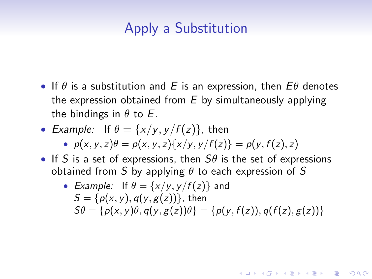# Apply a Substitution

- If  $\theta$  is a substitution and E is an expression, then  $E\theta$  denotes the expression obtained from  $E$  by simultaneously applying the bindings in  $\theta$  to E.
- Example: If  $\theta = \{x/y, y/f(z)\}\$ , then

•  $p(x, y, z)\theta = p(x, y, z)\{x/y, y/f(z)\} = p(y, f(z), z)$ 

• If S is a set of expressions, then  $S\theta$  is the set of expressions obtained from S by applying  $\theta$  to each expression of S

• Example: If 
$$
\theta = \{x/y, y/f(z)\}
$$
 and  
\n $S = \{p(x, y), q(y, g(z))\}$ , then  
\n $S\theta = \{p(x, y)\theta, q(y, g(z))\theta\} = \{p(y, f(z)), q(f(z), g(z))\}$ 

4 0 > 4 4 + 4 3 + 4 3 + 5 + 9 4 0 +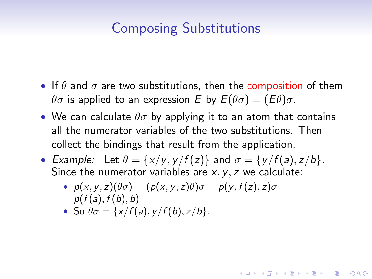# Composing Substitutions

- If  $\theta$  and  $\sigma$  are two substitutions, then the composition of them  $\theta\sigma$  is applied to an expression E by  $E(\theta\sigma) = (E\theta)\sigma$ .
- We can calculate  $\theta\sigma$  by applying it to an atom that contains all the numerator variables of the two substitutions. Then collect the bindings that result from the application.
- Example: Let  $\theta = \{x/v, v/f(z)\}$  and  $\sigma = \{v/f(a), z/b\}$ . Since the numerator variables are  $x, y, z$  we calculate:

**KORKAR KERKER EL VOLO** 

- $p(x, y, z)(\theta \sigma) = (p(x, y, z)\theta)\sigma = p(y, f(z), z)\sigma =$  $p(f(a), f(b), b)$
- So  $\theta \sigma = \{x/f(a), y/f(b), z/b\}.$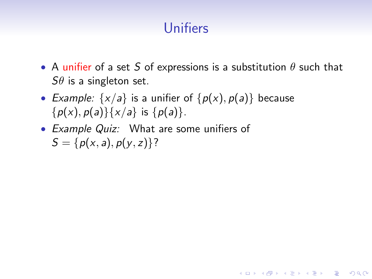# Unifiers

• A unifier of a set S of expressions is a substitution  $\theta$  such that  $S\theta$  is a singleton set.

**KORK ERKER ADE YOUR** 

- Example:  $\{x/a\}$  is a unifier of  $\{p(x), p(a)\}$  because  $\{p(x), p(a)\}\{x/a\}$  is  $\{p(a)\}.$
- Example Quiz: What are some unifiers of  $S = \{p(x, a), p(y, z)\}$ ?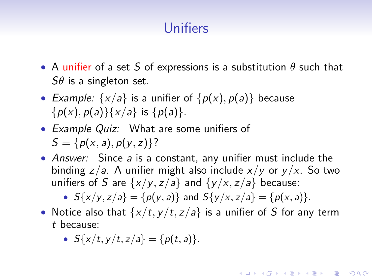# Unifiers

- A unifier of a set S of expressions is a substitution  $\theta$  such that  $S\theta$  is a singleton set.
- Example:  $\{x/a\}$  is a unifier of  $\{p(x), p(a)\}$  because  ${p(x), p(a)}{x/a}$  is  ${p(a)}$ .
- Example Quiz: What are some unifiers of  $S = \{p(x, a), p(y, z)\}$ ?
- Answer: Since a is a constant, any unifier must include the binding  $z/a$ . A unifier might also include  $x/y$  or  $y/x$ . So two unifiers of S are  $\{x/y, z/a\}$  and  $\{y/x, z/a\}$  because:

•  $S\{x/y, z/a\} = \{p(y, a)\}\$ and  $S\{y/x, z/a\} = \{p(x, a)\}\$ .

• Notice also that  $\{x/t, y/t, z/a\}$  is a unifier of S for any term t because:

**KORKAR KERKER EL VOLO** 

•  $S\{x/t, y/t, z/a\} = \{p(t, a)\}.$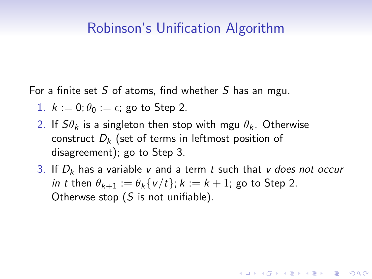### Robinson's Unification Algorithm

For a finite set S of atoms, find whether S has an mgu.

- 1.  $k := 0$ ;  $\theta_0 := \epsilon$ ; go to Step 2.
- 2. If  $S\theta_k$  is a singleton then stop with mgu  $\theta_k$ . Otherwise construct  $D_k$  (set of terms in leftmost position of disagreement); go to Step 3.
- 3. If  $D_k$  has a variable v and a term t such that v does not occur in t then  $\theta_{k+1} := \theta_k \{v/t\}$ ;  $k := k+1$ ; go to Step 2. Otherwse stop  $(S$  is not unifiable).

**KORKAR KERKER EL VOLO**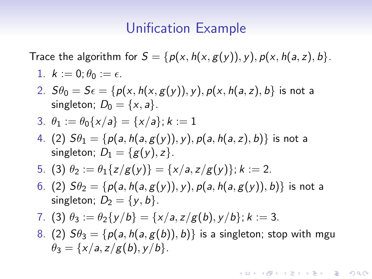#### Unification Example

Trace the algorithm for  $S = \{p(x, h(x, g(y)), y), p(x, h(a, z), b\}.$ 

1. 
$$
k := 0; \theta_0 := \epsilon
$$
.

2.  $S\theta_0 = S\epsilon = \{p(x, h(x, g(y)), y), p(x, h(a, z), b)\}$  is not a singleton;  $D_0 = \{x, a\}$ .

3. 
$$
\theta_1 := \theta_0\{x/a\} = \{x/a\}; k := 1
$$

- 4. (2)  $S\theta_1 = \{p(a, h(a, g(y)), y), p(a, h(a, z), b)\}\$ is not a singleton;  $D_1 = \{g(y), z\}.$
- 5. (3)  $\theta_2 := \theta_1\{z/g(y)\} = \{x/a, z/g(y)\}; k := 2$ .
- 6. (2)  $S\theta_2 = \{p(a, h(a, g(y)), y), p(a, h(a, g(y)), b)\}\$ is not a singleton;  $D_2 = \{y, b\}$ .

7. (3) 
$$
\theta_3 := \theta_2\{y/b\} = \{x/a, z/g(b), y/b\}; k := 3.
$$

8. (2)  $S\theta_3 = \{p(a, h(a, g(b)), b)\}\$ is a singleton; stop with mgu  $\theta_3 = \{x/a, z/g(b), y/b\}.$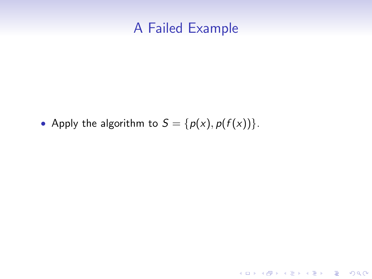#### A Failed Example

イロト イ御 トイミト イミト ニミー りんぴ

• Apply the algorithm to  $S = \{p(x), p(f(x))\}$ .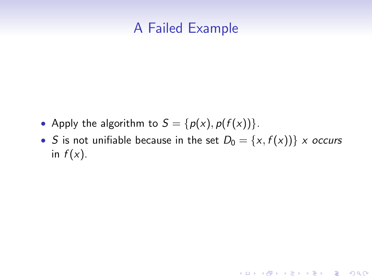## A Failed Example

- Apply the algorithm to  $S = \{p(x), p(f(x))\}$ .
- S is not unifiable because in the set  $D_0 = \{x, f(x)\}\;$  x occurs in  $f(x)$ .

K ロ ▶ K @ ▶ K 할 ▶ K 할 ▶ | 할 | © 9 Q @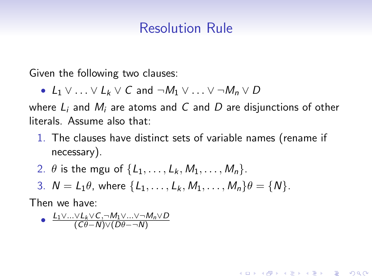## Resolution Rule

Given the following two clauses:

• L<sub>1</sub>  $\vee$  ...  $\vee$  L<sub>k</sub>  $\vee$  C and  $\neg M_1 \vee \dots \vee \neg M_n \vee D$ 

where  $L_i$  and  $M_i$  are atoms and C and D are disjunctions of other literals. Assume also that:

1. The clauses have distinct sets of variable names (rename if necessary).

**KORK ERKER ADE YOUR** 

- 2.  $\theta$  is the mgu of  $\{L_1, \ldots, L_k, M_1, \ldots, M_n\}$ .
- 3.  $N = L_1 \theta$ , where  $\{L_1, \ldots, L_k, M_1, \ldots, M_n\} \theta = \{N\}.$

Then we have:

• 
$$
\frac{L_1 \vee ... \vee L_k \vee C, \neg M_1 \vee ... \vee \neg M_n \vee D}{(C\theta - N) \vee (D\theta - \neg N)}
$$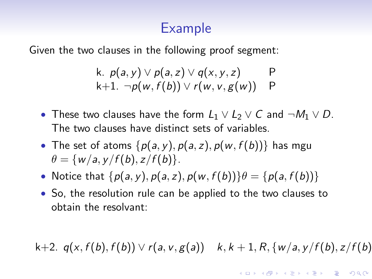## Example

Given the two clauses in the following proof segment:

k. 
$$
p(a, y) \lor p(a, z) \lor q(x, y, z)
$$
 P  
k+1.  $\neg p(w, f(b)) \lor r(w, v, g(w))$  P

- These two clauses have the form  $L_1 \vee L_2 \vee C$  and  $\neg M_1 \vee D$ . The two clauses have distinct sets of variables.
- The set of atoms  $\{p(a, y), p(a, z), p(w, f(b))\}$  has mgu  $\theta = \{w/a, y/f(b), z/f(b)\}.$
- Notice that  $\{p(a, y), p(a, z), p(w, f(b))\}$  $\theta = \{p(a, f(b))\}$
- So, the resolution rule can be applied to the two clauses to obtain the resolvant:

k+2.  $q(x, f(b), f(b)) \vee r(a, v, g(a))$  k, k + 1, R, {w/a, y/f(b), z/f(b)

**KORKAR KERKER EL VOLO**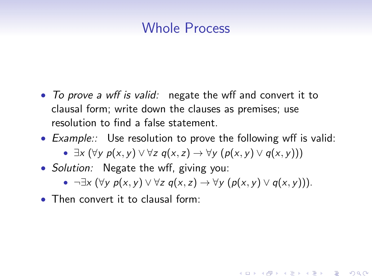## Whole Process

- To prove a wff is valid: negate the wff and convert it to clausal form; write down the clauses as premises; use resolution to find a false statement.
- Example:: Use resolution to prove the following wff is valid:
	- $\exists x (\forall y \ p(x, y) \lor \forall z \ q(x, z) \rightarrow \forall y \ (p(x, y) \lor q(x, y)))$
- *Solution:* Negate the wff, giving you:
	- $\neg \exists x (\forall y \ p(x, y) \lor \forall z \ q(x, z) \rightarrow \forall y \ (p(x, y) \lor q(x, y))).$

**KORK ERKER ADE YOUR** 

• Then convert it to clausal form: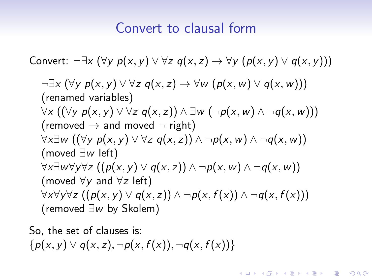## Convert to clausal form

Convert: 
$$
\neg \exists x (\forall y \ p(x, y) \lor \forall z \ q(x, z) \rightarrow \forall y (p(x, y) \lor q(x, y)))
$$

\n¬ $\exists x (\forall y \ p(x, y) \lor \forall z \ q(x, z) \rightarrow \forall w (p(x, w) \lor q(x, w)))$ 

\n(renamed variables)

\n∀ $x ((\forall y \ p(x, y) \lor \forall z \ q(x, z)) \land \exists w (\neg p(x, w) \land \neg q(x, w)))$ 

\n(removed → and moved ¬ right)

\n∀ $x \exists w ((\forall y \ p(x, y) \lor \forall z \ q(x, z)) \land \neg p(x, w) \land \neg q(x, w))$ 

\n(moved  $\exists w$  left)

\n∀ $x \exists w \forall y \forall z ((p(x, y) \lor q(x, z)) \land \neg p(x, w) \land \neg q(x, w))$ 

\n(moved  $\forall y$  and  $\forall z$  left)

\n∀ $x \forall y \forall z ((p(x, y) \lor q(x, z)) \land \neg p(x, f(x)) \land \neg q(x, f(x)))$ 

\n(removed  $\exists w$  by Skolem)

K ロ ▶ K @ ▶ K 할 ▶ K 할 ▶ | 할 | © 9 Q @

So, the set of clauses is:  $\{p(x, y) \vee q(x, z), \neg p(x, f(x)), \neg q(x, f(x))\}$